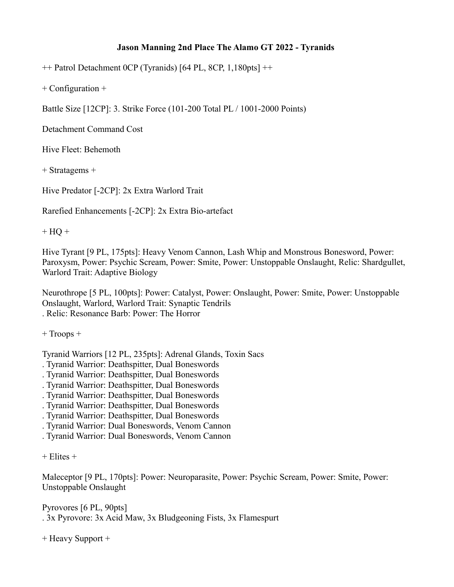## **Jason Manning 2nd Place The Alamo GT 2022 - Tyranids**

++ Patrol Detachment 0CP (Tyranids) [64 PL, 8CP, 1,180pts] ++

+ Configuration +

Battle Size [12CP]: 3. Strike Force (101-200 Total PL / 1001-2000 Points)

Detachment Command Cost

Hive Fleet: Behemoth

+ Stratagems +

Hive Predator [-2CP]: 2x Extra Warlord Trait

Rarefied Enhancements [-2CP]: 2x Extra Bio-artefact

 $+$  HQ  $+$ 

Hive Tyrant [9 PL, 175pts]: Heavy Venom Cannon, Lash Whip and Monstrous Bonesword, Power: Paroxysm, Power: Psychic Scream, Power: Smite, Power: Unstoppable Onslaught, Relic: Shardgullet, Warlord Trait: Adaptive Biology

Neurothrope [5 PL, 100pts]: Power: Catalyst, Power: Onslaught, Power: Smite, Power: Unstoppable Onslaught, Warlord, Warlord Trait: Synaptic Tendrils . Relic: Resonance Barb: Power: The Horror

+ Troops +

Tyranid Warriors [12 PL, 235pts]: Adrenal Glands, Toxin Sacs

- . Tyranid Warrior: Deathspitter, Dual Boneswords
- . Tyranid Warrior: Deathspitter, Dual Boneswords
- . Tyranid Warrior: Deathspitter, Dual Boneswords
- . Tyranid Warrior: Deathspitter, Dual Boneswords
- . Tyranid Warrior: Deathspitter, Dual Boneswords
- . Tyranid Warrior: Deathspitter, Dual Boneswords
- . Tyranid Warrior: Dual Boneswords, Venom Cannon
- . Tyranid Warrior: Dual Boneswords, Venom Cannon

Maleceptor [9 PL, 170pts]: Power: Neuroparasite, Power: Psychic Scream, Power: Smite, Power: Unstoppable Onslaught

Pyrovores [6 PL, 90pts] . 3x Pyrovore: 3x Acid Maw, 3x Bludgeoning Fists, 3x Flamespurt

+ Heavy Support +

<sup>+</sup> Elites +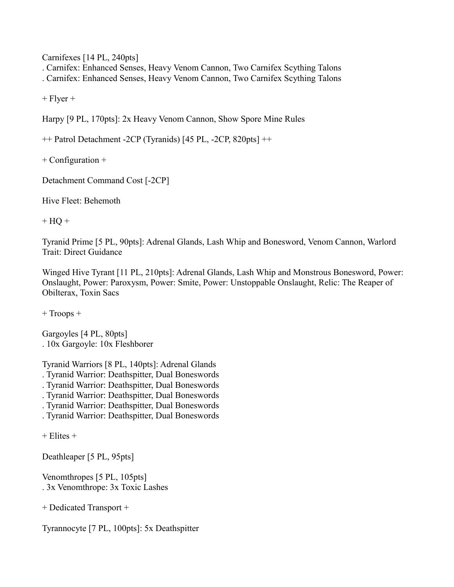Carnifexes [14 PL, 240pts]

. Carnifex: Enhanced Senses, Heavy Venom Cannon, Two Carnifex Scything Talons

. Carnifex: Enhanced Senses, Heavy Venom Cannon, Two Carnifex Scything Talons

 $+$  Flyer  $+$ 

Harpy [9 PL, 170pts]: 2x Heavy Venom Cannon, Show Spore Mine Rules

++ Patrol Detachment -2CP (Tyranids) [45 PL, -2CP, 820pts] ++

+ Configuration +

Detachment Command Cost [-2CP]

Hive Fleet: Behemoth

 $+ HO +$ 

Tyranid Prime [5 PL, 90pts]: Adrenal Glands, Lash Whip and Bonesword, Venom Cannon, Warlord Trait: Direct Guidance

Winged Hive Tyrant [11 PL, 210pts]: Adrenal Glands, Lash Whip and Monstrous Bonesword, Power: Onslaught, Power: Paroxysm, Power: Smite, Power: Unstoppable Onslaught, Relic: The Reaper of Obilterax, Toxin Sacs

+ Troops +

Gargoyles [4 PL, 80pts] . 10x Gargoyle: 10x Fleshborer

Tyranid Warriors [8 PL, 140pts]: Adrenal Glands . Tyranid Warrior: Deathspitter, Dual Boneswords . Tyranid Warrior: Deathspitter, Dual Boneswords

. Tyranid Warrior: Deathspitter, Dual Boneswords

. Tyranid Warrior: Deathspitter, Dual Boneswords

. Tyranid Warrior: Deathspitter, Dual Boneswords

 $+$  Elites  $+$ 

Deathleaper [5 PL, 95pts]

Venomthropes [5 PL, 105pts] . 3x Venomthrope: 3x Toxic Lashes

+ Dedicated Transport +

Tyrannocyte [7 PL, 100pts]: 5x Deathspitter